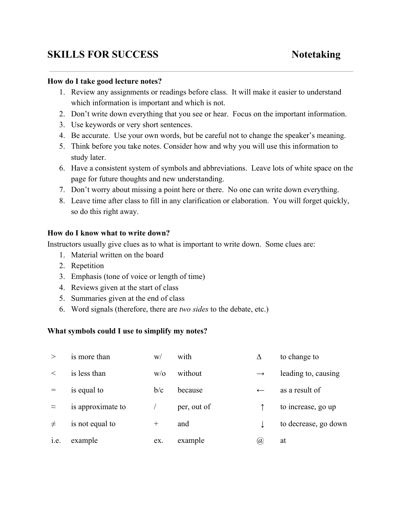# **SKILLS FOR SUCCESS Notetaking**

#### **How do I take good lecture notes?**

- 1. Review any assignments or readings before class. It will make it easier to understand which information is important and which is not.
- 2. Don't write down everything that you see or hear. Focus on the important information.
- 3. Use keywords or very short sentences.
- 4. Be accurate. Use your own words, but be careful not to change the speaker's meaning.
- 5. Think before you take notes. Consider how and why you will use this information to study later.
- 6. Have a consistent system of symbols and abbreviations. Leave lots of white space on the page for future thoughts and new understanding.
- 7. Don't worry about missing a point here or there. No one can write down everything.
- 8. Leave time after class to fill in any clarification or elaboration. You will forget quickly, so do this right away.

### **How do I know what to write down?**

Instructors usually give clues as to what is important to write down. Some clues are:

- 1. Material written on the board
- 2. Repetition
- 3. Emphasis (tone of voice or length of time)
- 4. Reviews given at the start of class
- 5. Summaries given at the end of class
- 6. Word signals (therefore, there are *two sides* to the debate, etc.)

### **What symbols could I use to simplify my notes?**

| >         | is more than      | W/     | with        | Δ             | to change to         |
|-----------|-------------------|--------|-------------|---------------|----------------------|
| $\,<\,$   | is less than      | W/O    | without     | $\rightarrow$ | leading to, causing  |
|           | is equal to       | b/c    | because     | $\leftarrow$  | as a result of       |
| $\approx$ | is approximate to |        | per, out of |               | to increase, go up   |
| $\neq$    | is not equal to   | $^{+}$ | and         |               | to decrease, go down |
| 1.e.      | example           | ex.    | example     | (a)           | at                   |